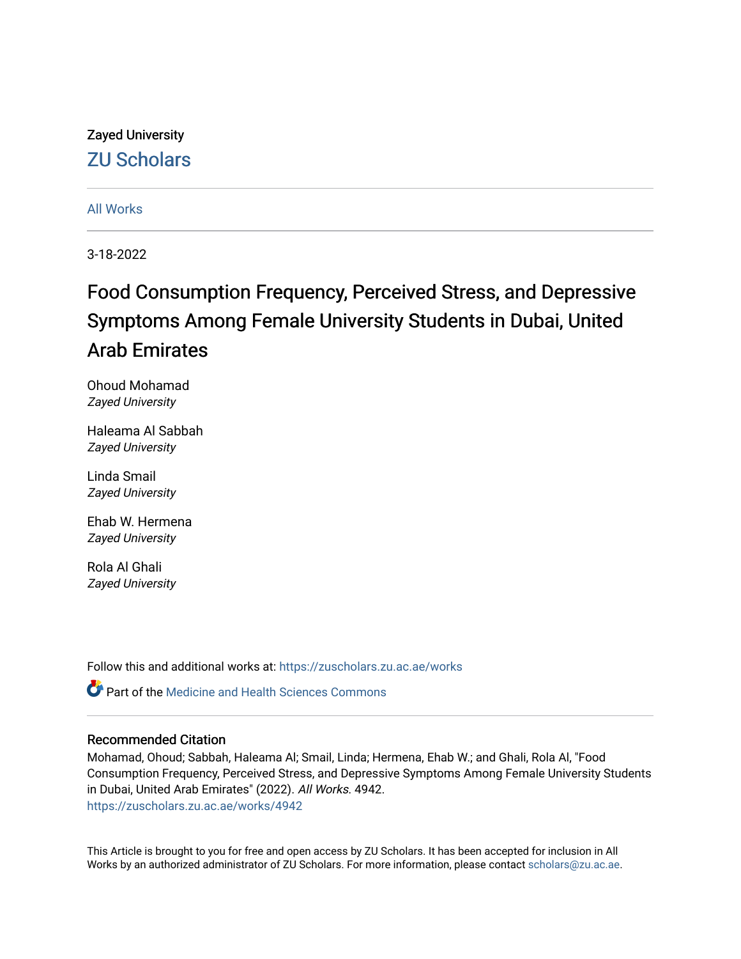# Zayed University [ZU Scholars](https://zuscholars.zu.ac.ae/)

### [All Works](https://zuscholars.zu.ac.ae/works)

3-18-2022

# Food Consumption Frequency, Perceived Stress, and Depressive Symptoms Among Female University Students in Dubai, United Arab Emirates

Ohoud Mohamad Zayed University

Haleama Al Sabbah Zayed University

Linda Smail Zayed University

Ehab W. Hermena Zayed University

Rola Al Ghali Zayed University

Follow this and additional works at: [https://zuscholars.zu.ac.ae/works](https://zuscholars.zu.ac.ae/works?utm_source=zuscholars.zu.ac.ae%2Fworks%2F4942&utm_medium=PDF&utm_campaign=PDFCoverPages)

Part of the [Medicine and Health Sciences Commons](https://network.bepress.com/hgg/discipline/648?utm_source=zuscholars.zu.ac.ae%2Fworks%2F4942&utm_medium=PDF&utm_campaign=PDFCoverPages) 

#### Recommended Citation

Mohamad, Ohoud; Sabbah, Haleama Al; Smail, Linda; Hermena, Ehab W.; and Ghali, Rola Al, "Food Consumption Frequency, Perceived Stress, and Depressive Symptoms Among Female University Students in Dubai, United Arab Emirates" (2022). All Works. 4942. [https://zuscholars.zu.ac.ae/works/4942](https://zuscholars.zu.ac.ae/works/4942?utm_source=zuscholars.zu.ac.ae%2Fworks%2F4942&utm_medium=PDF&utm_campaign=PDFCoverPages)

This Article is brought to you for free and open access by ZU Scholars. It has been accepted for inclusion in All Works by an authorized administrator of ZU Scholars. For more information, please contact [scholars@zu.ac.ae](mailto:scholars@zu.ac.ae).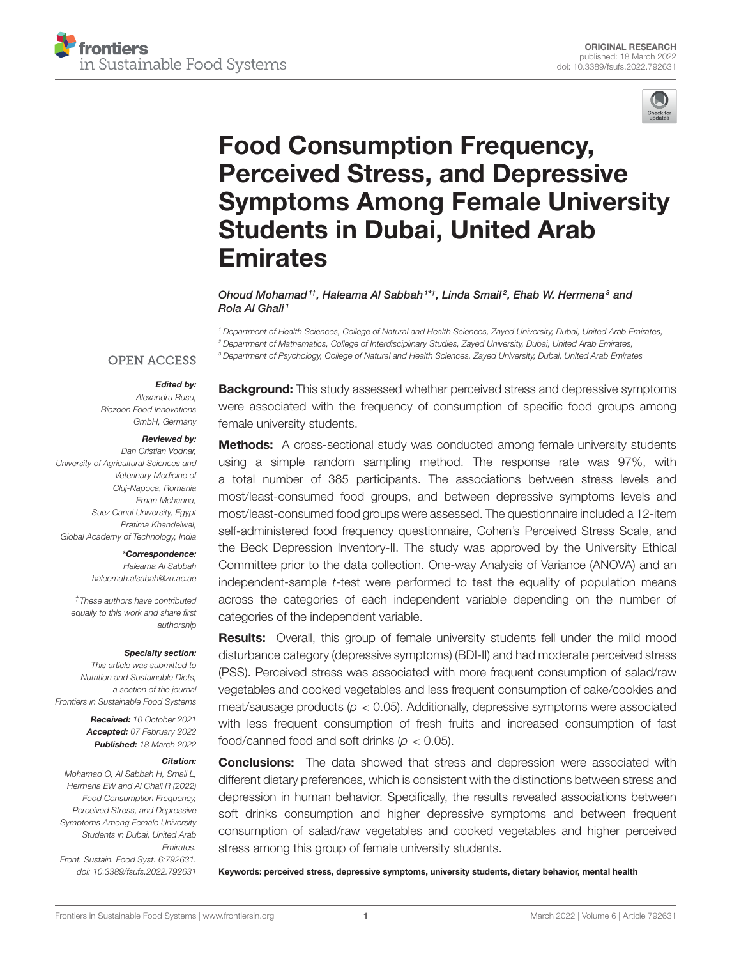



# Food Consumption Frequency, Perceived Stress, and Depressive [Symptoms Among Female University](https://www.frontiersin.org/articles/10.3389/fsufs.2022.792631/full) Students in Dubai, United Arab Emirates

Ohoud Mohamad<sup>1†</sup>, Haleama Al Sabbah<sup>1\*†</sup>, Linda Smail<sup>2</sup>, Ehab W. Hermena<sup>3</sup> and Rola Al Ghali<sup>1</sup>

*<sup>1</sup> Department of Health Sciences, College of Natural and Health Sciences, Zayed University, Dubai, United Arab Emirates, <sup>2</sup> Department of Mathematics, College of Interdisciplinary Studies, Zayed University, Dubai, United Arab Emirates, <sup>3</sup> Department of Psychology, College of Natural and Health Sciences, Zayed University, Dubai, United Arab Emirates*

#### **OPEN ACCESS**

#### Edited by:

*Alexandru Rusu, Biozoon Food Innovations GmbH, Germany*

#### Reviewed by:

*Dan Cristian Vodnar, University of Agricultural Sciences and Veterinary Medicine of Cluj-Napoca, Romania Eman Mehanna, Suez Canal University, Egypt Pratima Khandelwal, Global Academy of Technology, India*

#### \*Correspondence:

*Haleama Al Sabbah [haleemah.alsabah@zu.ac.ae](mailto:haleemah.alsabah@zu.ac.ae)*

*†These authors have contributed equally to this work and share first authorship*

#### Specialty section:

*This article was submitted to Nutrition and Sustainable Diets, a section of the journal Frontiers in Sustainable Food Systems*

> Received: *10 October 2021* Accepted: *07 February 2022* Published: *18 March 2022*

#### Citation:

*Mohamad O, Al Sabbah H, Smail L, Hermena EW and Al Ghali R (2022) Food Consumption Frequency, Perceived Stress, and Depressive Symptoms Among Female University Students in Dubai, United Arab Emirates. Front. Sustain. Food Syst. 6:792631. doi: [10.3389/fsufs.2022.792631](https://doi.org/10.3389/fsufs.2022.792631)*

**Background:** This study assessed whether perceived stress and depressive symptoms were associated with the frequency of consumption of specific food groups among female university students.

Methods: A cross-sectional study was conducted among female university students using a simple random sampling method. The response rate was 97%, with a total number of 385 participants. The associations between stress levels and most/least-consumed food groups, and between depressive symptoms levels and most/least-consumed food groups were assessed. The questionnaire included a 12-item self-administered food frequency questionnaire, Cohen's Perceived Stress Scale, and the Beck Depression Inventory-II. The study was approved by the University Ethical Committee prior to the data collection. One-way Analysis of Variance (ANOVA) and an independent-sample *t*-test were performed to test the equality of population means across the categories of each independent variable depending on the number of categories of the independent variable.

**Results:** Overall, this group of female university students fell under the mild mood disturbance category (depressive symptoms) (BDI-II) and had moderate perceived stress (PSS). Perceived stress was associated with more frequent consumption of salad/raw vegetables and cooked vegetables and less frequent consumption of cake/cookies and meat/sausage products (*p* < 0.05). Additionally, depressive symptoms were associated with less frequent consumption of fresh fruits and increased consumption of fast food/canned food and soft drinks  $(p < 0.05)$ .

**Conclusions:** The data showed that stress and depression were associated with different dietary preferences, which is consistent with the distinctions between stress and depression in human behavior. Specifically, the results revealed associations between soft drinks consumption and higher depressive symptoms and between frequent consumption of salad/raw vegetables and cooked vegetables and higher perceived stress among this group of female university students.

Keywords: perceived stress, depressive symptoms, university students, dietary behavior, mental health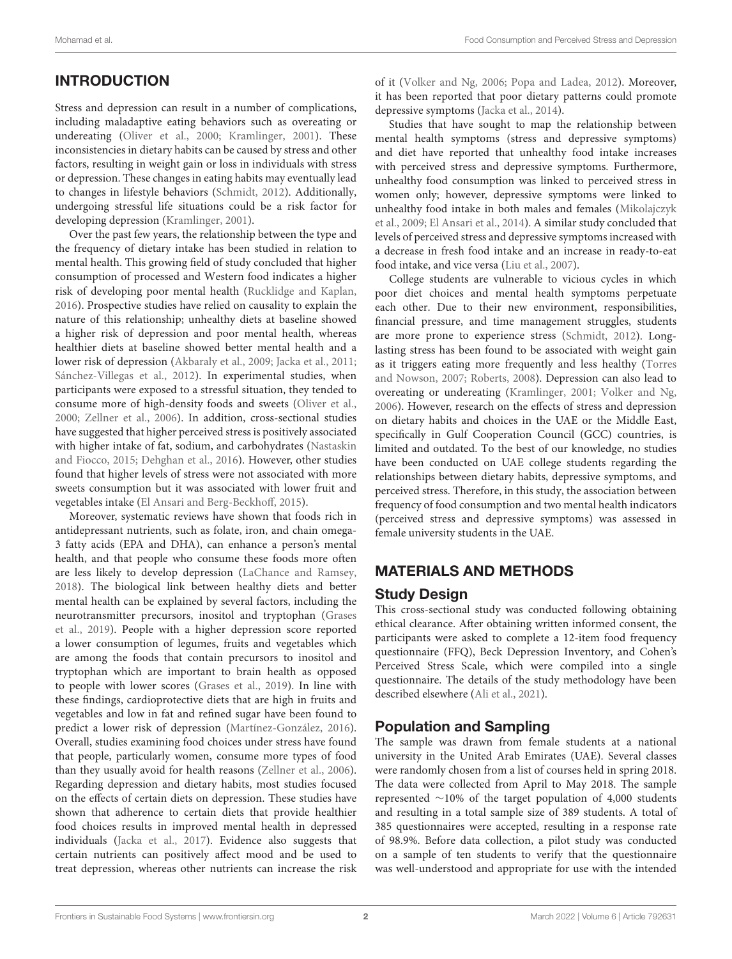# INTRODUCTION

Stress and depression can result in a number of complications, including maladaptive eating behaviors such as overeating or undereating [\(Oliver et al., 2000;](#page-7-0) [Kramlinger, 2001\)](#page-7-1). These inconsistencies in dietary habits can be caused by stress and other factors, resulting in weight gain or loss in individuals with stress or depression. These changes in eating habits may eventually lead to changes in lifestyle behaviors [\(Schmidt, 2012\)](#page-7-2). Additionally, undergoing stressful life situations could be a risk factor for developing depression [\(Kramlinger, 2001\)](#page-7-1).

Over the past few years, the relationship between the type and the frequency of dietary intake has been studied in relation to mental health. This growing field of study concluded that higher consumption of processed and Western food indicates a higher risk of developing poor mental health [\(Rucklidge and Kaplan,](#page-7-3) [2016\)](#page-7-3). Prospective studies have relied on causality to explain the nature of this relationship; unhealthy diets at baseline showed a higher risk of depression and poor mental health, whereas healthier diets at baseline showed better mental health and a lower risk of depression [\(Akbaraly et al., 2009;](#page-7-4) [Jacka et al., 2011;](#page-7-5) [Sánchez-Villegas et al., 2012\)](#page-7-6). In experimental studies, when participants were exposed to a stressful situation, they tended to consume more of high-density foods and sweets [\(Oliver et al.,](#page-7-0) [2000;](#page-7-0) [Zellner et al., 2006\)](#page-7-7). In addition, cross-sectional studies have suggested that higher perceived stress is positively associated with higher intake of fat, sodium, and carbohydrates (Nastaskin and Fiocco, [2015;](#page-7-8) [Dehghan et al., 2016\)](#page-7-9). However, other studies found that higher levels of stress were not associated with more sweets consumption but it was associated with lower fruit and vegetables intake [\(El Ansari and Berg-Beckhoff, 2015\)](#page-7-10).

Moreover, systematic reviews have shown that foods rich in antidepressant nutrients, such as folate, iron, and chain omega-3 fatty acids (EPA and DHA), can enhance a person's mental health, and that people who consume these foods more often are less likely to develop depression [\(LaChance and Ramsey,](#page-7-11) [2018\)](#page-7-11). The biological link between healthy diets and better mental health can be explained by several factors, including the neurotransmitter precursors, inositol and tryptophan (Grases et al., [2019\)](#page-7-12). People with a higher depression score reported a lower consumption of legumes, fruits and vegetables which are among the foods that contain precursors to inositol and tryptophan which are important to brain health as opposed to people with lower scores [\(Grases et al., 2019\)](#page-7-12). In line with these findings, cardioprotective diets that are high in fruits and vegetables and low in fat and refined sugar have been found to predict a lower risk of depression [\(Martínez-González, 2016\)](#page-7-13). Overall, studies examining food choices under stress have found that people, particularly women, consume more types of food than they usually avoid for health reasons [\(Zellner et al., 2006\)](#page-7-7). Regarding depression and dietary habits, most studies focused on the effects of certain diets on depression. These studies have shown that adherence to certain diets that provide healthier food choices results in improved mental health in depressed individuals [\(Jacka et al., 2017\)](#page-7-14). Evidence also suggests that certain nutrients can positively affect mood and be used to treat depression, whereas other nutrients can increase the risk of it [\(Volker and Ng, 2006;](#page-7-15) [Popa and Ladea, 2012\)](#page-7-16). Moreover, it has been reported that poor dietary patterns could promote depressive symptoms [\(Jacka et al., 2014\)](#page-7-17).

Studies that have sought to map the relationship between mental health symptoms (stress and depressive symptoms) and diet have reported that unhealthy food intake increases with perceived stress and depressive symptoms. Furthermore, unhealthy food consumption was linked to perceived stress in women only; however, depressive symptoms were linked to unhealthy food intake in both males and females (Mikolajczyk et al., [2009;](#page-7-18) [El Ansari et al., 2014\)](#page-7-19). A similar study concluded that levels of perceived stress and depressive symptoms increased with a decrease in fresh food intake and an increase in ready-to-eat food intake, and vice versa [\(Liu et al., 2007\)](#page-7-20).

College students are vulnerable to vicious cycles in which poor diet choices and mental health symptoms perpetuate each other. Due to their new environment, responsibilities, financial pressure, and time management struggles, students are more prone to experience stress [\(Schmidt, 2012\)](#page-7-2). Longlasting stress has been found to be associated with weight gain as it triggers eating more frequently and less healthy (Torres and Nowson, [2007;](#page-7-21) [Roberts, 2008\)](#page-7-22). Depression can also lead to overeating or undereating [\(Kramlinger, 2001;](#page-7-1) [Volker and Ng,](#page-7-15) [2006\)](#page-7-15). However, research on the effects of stress and depression on dietary habits and choices in the UAE or the Middle East, specifically in Gulf Cooperation Council (GCC) countries, is limited and outdated. To the best of our knowledge, no studies have been conducted on UAE college students regarding the relationships between dietary habits, depressive symptoms, and perceived stress. Therefore, in this study, the association between frequency of food consumption and two mental health indicators (perceived stress and depressive symptoms) was assessed in female university students in the UAE.

## MATERIALS AND METHODS

## Study Design

This cross-sectional study was conducted following obtaining ethical clearance. After obtaining written informed consent, the participants were asked to complete a 12-item food frequency questionnaire (FFQ), Beck Depression Inventory, and Cohen's Perceived Stress Scale, which were compiled into a single questionnaire. The details of the study methodology have been described elsewhere [\(Ali et al., 2021\)](#page-7-23).

## Population and Sampling

The sample was drawn from female students at a national university in the United Arab Emirates (UAE). Several classes were randomly chosen from a list of courses held in spring 2018. The data were collected from April to May 2018. The sample represented ∼10% of the target population of 4,000 students and resulting in a total sample size of 389 students. A total of 385 questionnaires were accepted, resulting in a response rate of 98.9%. Before data collection, a pilot study was conducted on a sample of ten students to verify that the questionnaire was well-understood and appropriate for use with the intended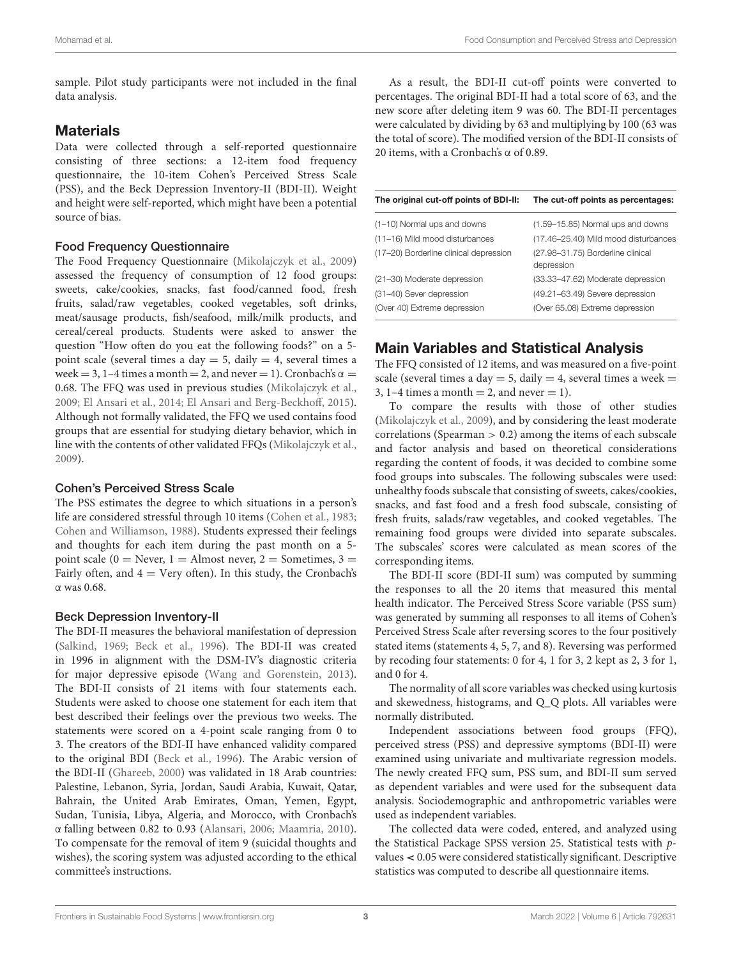sample. Pilot study participants were not included in the final data analysis.

## **Materials**

Data were collected through a self-reported questionnaire consisting of three sections: a 12-item food frequency questionnaire, the 10-item Cohen's Perceived Stress Scale (PSS), and the Beck Depression Inventory-II (BDI-II). Weight and height were self-reported, which might have been a potential source of bias.

#### Food Frequency Questionnaire

The Food Frequency Questionnaire [\(Mikolajczyk et al., 2009\)](#page-7-18) assessed the frequency of consumption of 12 food groups: sweets, cake/cookies, snacks, fast food/canned food, fresh fruits, salad/raw vegetables, cooked vegetables, soft drinks, meat/sausage products, fish/seafood, milk/milk products, and cereal/cereal products. Students were asked to answer the question "How often do you eat the following foods?" on a 5 point scale (several times a day  $= 5$ , daily  $= 4$ , several times a week = 3, 1–4 times a month = 2, and never = 1). Cronbach's  $\alpha$  = 0.68. The FFQ was used in previous studies [\(Mikolajczyk et al.,](#page-7-18) [2009;](#page-7-18) [El Ansari et al., 2014;](#page-7-19) [El Ansari and Berg-Beckhoff, 2015\)](#page-7-10). Although not formally validated, the FFQ we used contains food groups that are essential for studying dietary behavior, which in line with the contents of other validated FFQs [\(Mikolajczyk et al.,](#page-7-18) [2009\)](#page-7-18).

#### Cohen's Perceived Stress Scale

The PSS estimates the degree to which situations in a person's life are considered stressful through 10 items [\(Cohen et al., 1983;](#page-7-24) [Cohen and Williamson, 1988\)](#page-7-25). Students expressed their feelings and thoughts for each item during the past month on a 5 point scale (0 = Never, 1 = Almost never, 2 = Sometimes,  $3 =$ Fairly often, and  $4 = \text{Very often}$ . In this study, the Cronbach's α was 0.68.

#### Beck Depression Inventory-II

The BDI-II measures the behavioral manifestation of depression [\(Salkind, 1969;](#page-7-26) [Beck et al., 1996\)](#page-7-27). The BDI-II was created in 1996 in alignment with the DSM-IV's diagnostic criteria for major depressive episode [\(Wang and Gorenstein, 2013\)](#page-7-28). The BDI-II consists of 21 items with four statements each. Students were asked to choose one statement for each item that best described their feelings over the previous two weeks. The statements were scored on a 4-point scale ranging from 0 to 3. The creators of the BDI-II have enhanced validity compared to the original BDI [\(Beck et al., 1996\)](#page-7-27). The Arabic version of the BDI-II [\(Ghareeb, 2000\)](#page-7-29) was validated in 18 Arab countries: Palestine, Lebanon, Syria, Jordan, Saudi Arabia, Kuwait, Qatar, Bahrain, the United Arab Emirates, Oman, Yemen, Egypt, Sudan, Tunisia, Libya, Algeria, and Morocco, with Cronbach's α falling between 0.82 to 0.93 [\(Alansari, 2006;](#page-7-30) [Maamria, 2010\)](#page-7-31). To compensate for the removal of item 9 (suicidal thoughts and wishes), the scoring system was adjusted according to the ethical committee's instructions.

As a result, the BDI-II cut-off points were converted to percentages. The original BDI-II had a total score of 63, and the new score after deleting item 9 was 60. The BDI-II percentages were calculated by dividing by 63 and multiplying by 100 (63 was the total of score). The modified version of the BDI-II consists of 20 items, with a Cronbach's α of 0.89.

| The original cut-off points of BDI-II: | The cut-off points as percentages:              |
|----------------------------------------|-------------------------------------------------|
| (1-10) Normal ups and downs            | (1.59-15.85) Normal ups and downs               |
| (11-16) Mild mood disturbances         | (17.46-25.40) Mild mood disturbances            |
| (17-20) Borderline clinical depression | (27.98-31.75) Borderline clinical<br>depression |
| (21-30) Moderate depression            | (33.33-47.62) Moderate depression               |
| (31-40) Sever depression               | (49.21-63.49) Severe depression                 |
| (Over 40) Extreme depression           | (Over 65.08) Extreme depression                 |

## Main Variables and Statistical Analysis

The FFQ consisted of 12 items, and was measured on a five-point scale (several times a day = 5, daily = 4, several times a week = 3, 1–4 times a month  $= 2$ , and never  $= 1$ ).

To compare the results with those of other studies [\(Mikolajczyk et al., 2009\)](#page-7-18), and by considering the least moderate correlations (Spearman  $> 0.2$ ) among the items of each subscale and factor analysis and based on theoretical considerations regarding the content of foods, it was decided to combine some food groups into subscales. The following subscales were used: unhealthy foods subscale that consisting of sweets, cakes/cookies, snacks, and fast food and a fresh food subscale, consisting of fresh fruits, salads/raw vegetables, and cooked vegetables. The remaining food groups were divided into separate subscales. The subscales' scores were calculated as mean scores of the corresponding items.

The BDI-II score (BDI-II sum) was computed by summing the responses to all the 20 items that measured this mental health indicator. The Perceived Stress Score variable (PSS sum) was generated by summing all responses to all items of Cohen's Perceived Stress Scale after reversing scores to the four positively stated items (statements 4, 5, 7, and 8). Reversing was performed by recoding four statements: 0 for 4, 1 for 3, 2 kept as 2, 3 for 1, and 0 for 4.

The normality of all score variables was checked using kurtosis and skewedness, histograms, and Q\_Q plots. All variables were normally distributed.

Independent associations between food groups (FFQ), perceived stress (PSS) and depressive symptoms (BDI-II) were examined using univariate and multivariate regression models. The newly created FFQ sum, PSS sum, and BDI-II sum served as dependent variables and were used for the subsequent data analysis. Sociodemographic and anthropometric variables were used as independent variables.

The collected data were coded, entered, and analyzed using the Statistical Package SPSS version 25. Statistical tests with pvalues < 0.05 were considered statistically significant. Descriptive statistics was computed to describe all questionnaire items.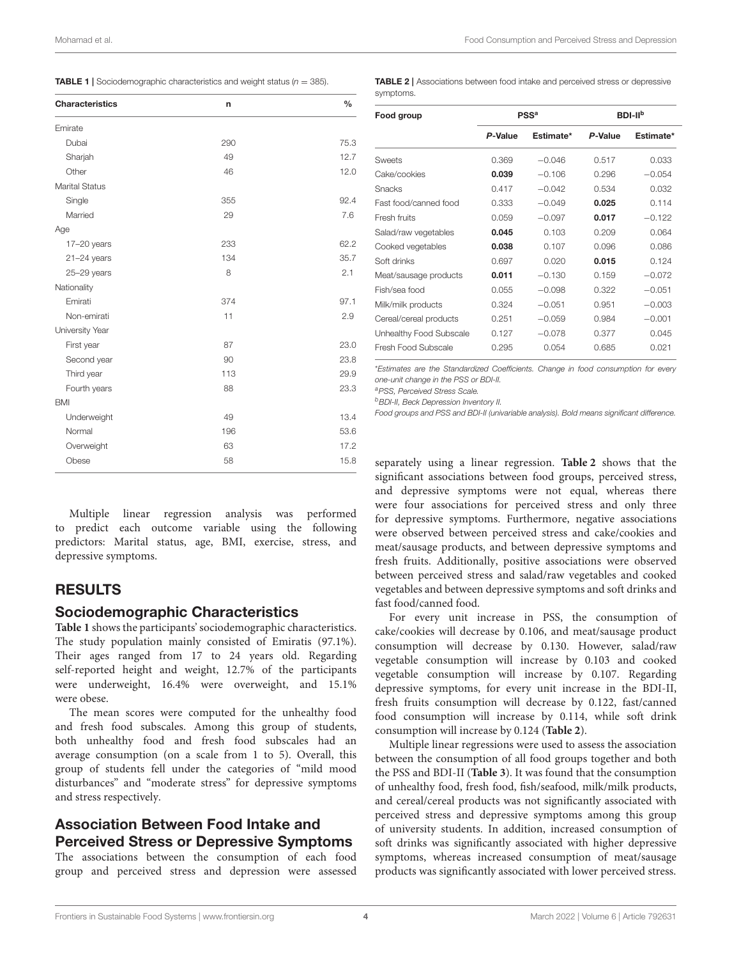<span id="page-4-0"></span>

|  | <b>TABLE 1</b> Sociodemographic characteristics and weight status ( $n = 385$ ). |  |  |  |
|--|----------------------------------------------------------------------------------|--|--|--|
|--|----------------------------------------------------------------------------------|--|--|--|

| <b>Characteristics</b> | n   | $\frac{0}{0}$ |
|------------------------|-----|---------------|
| Emirate                |     |               |
| Dubai                  | 290 | 75.3          |
| Sharjah                | 49  | 12.7          |
| Other                  | 46  | 12.0          |
| <b>Marital Status</b>  |     |               |
| Single                 | 355 | 92.4          |
| Married                | 29  | 7.6           |
| Age                    |     |               |
| $17-20$ years          | 233 | 62.2          |
| $21 - 24$ years        | 134 | 35.7          |
| $25 - 29$ years        | 8   | 2.1           |
| Nationality            |     |               |
| Emirati                | 374 | 97.1          |
| Non-emirati            | 11  | 2.9           |
| University Year        |     |               |
| First year             | 87  | 23.0          |
| Second year            | 90  | 23.8          |
| Third year             | 113 | 29.9          |
| Fourth years           | 88  | 23.3          |
| <b>BMI</b>             |     |               |
| Underweight            | 49  | 13.4          |
| Normal                 | 196 | 53.6          |
| Overweight             | 63  | 17.2          |
| Obese                  | 58  | 15.8          |
|                        |     |               |

Mohamad et al. Food Consumption and Perceived Stress and Depression

<span id="page-4-1"></span>TABLE 2 | Associations between food intake and perceived stress or depressive symptoms.

| Food group              | <b>PSS<sup>a</sup></b> |           | <b>BDI-IIb</b> |           |
|-------------------------|------------------------|-----------|----------------|-----------|
|                         | P-Value                | Estimate* | P-Value        | Estimate* |
| Sweets                  | 0.369                  | $-0.046$  | 0.517          | 0.033     |
| Cake/cookies            | 0.039                  | $-0.106$  | 0.296          | $-0.054$  |
| Snacks                  | 0.417                  | $-0.042$  | 0.534          | 0.032     |
| Fast food/canned food   | 0.333                  | $-0.049$  | 0.025          | 0.114     |
| Fresh fruits            | 0.059                  | $-0.097$  | 0.017          | $-0.122$  |
| Salad/raw vegetables    | 0.045                  | 0.103     | 0.209          | 0.064     |
| Cooked vegetables       | 0.038                  | 0.107     | 0.096          | 0.086     |
| Soft drinks             | 0.697                  | 0.020     | 0.015          | 0.124     |
| Meat/sausage products   | 0.011                  | $-0.130$  | 0.159          | $-0.072$  |
| Fish/sea food           | 0.055                  | $-0.098$  | 0.322          | $-0.051$  |
| Milk/milk products      | 0.324                  | $-0.051$  | 0.951          | $-0.003$  |
| Cereal/cereal products  | 0.251                  | $-0.059$  | 0.984          | $-0.001$  |
| Unhealthy Food Subscale | 0.127                  | $-0.078$  | 0.377          | 0.045     |
| Fresh Food Subscale     | 0.295                  | 0.054     | 0.685          | 0.021     |

\**Estimates are the Standardized Coefficients. Change in food consumption for every one-unit change in the PSS or BDI-II.*

*<sup>a</sup>PSS, Perceived Stress Scale.*

*<sup>b</sup>BDI-II, Beck Depression Inventory II.*

*Food groups and PSS and BDI-II (univariable analysis). Bold means significant difference.*

Multiple linear regression analysis was performed to predict each outcome variable using the following predictors: Marital status, age, BMI, exercise, stress, and depressive symptoms.

## RESULTS

## Sociodemographic Characteristics

**[Table 1](#page-4-0)** shows the participants' sociodemographic characteristics. The study population mainly consisted of Emiratis (97.1%). Their ages ranged from 17 to 24 years old. Regarding self-reported height and weight, 12.7% of the participants were underweight, 16.4% were overweight, and 15.1% were obese.

The mean scores were computed for the unhealthy food and fresh food subscales. Among this group of students, both unhealthy food and fresh food subscales had an average consumption (on a scale from 1 to 5). Overall, this group of students fell under the categories of "mild mood disturbances" and "moderate stress" for depressive symptoms and stress respectively.

## Association Between Food Intake and Perceived Stress or Depressive Symptoms

The associations between the consumption of each food group and perceived stress and depression were assessed separately using a linear regression. **[Table 2](#page-4-1)** shows that the significant associations between food groups, perceived stress, and depressive symptoms were not equal, whereas there were four associations for perceived stress and only three for depressive symptoms. Furthermore, negative associations were observed between perceived stress and cake/cookies and meat/sausage products, and between depressive symptoms and fresh fruits. Additionally, positive associations were observed between perceived stress and salad/raw vegetables and cooked vegetables and between depressive symptoms and soft drinks and fast food/canned food.

For every unit increase in PSS, the consumption of cake/cookies will decrease by 0.106, and meat/sausage product consumption will decrease by 0.130. However, salad/raw vegetable consumption will increase by 0.103 and cooked vegetable consumption will increase by 0.107. Regarding depressive symptoms, for every unit increase in the BDI-II, fresh fruits consumption will decrease by 0.122, fast/canned food consumption will increase by 0.114, while soft drink consumption will increase by 0.124 (**[Table 2](#page-4-1)**).

Multiple linear regressions were used to assess the association between the consumption of all food groups together and both the PSS and BDI-II (**[Table 3](#page-5-0)**). It was found that the consumption of unhealthy food, fresh food, fish/seafood, milk/milk products, and cereal/cereal products was not significantly associated with perceived stress and depressive symptoms among this group of university students. In addition, increased consumption of soft drinks was significantly associated with higher depressive symptoms, whereas increased consumption of meat/sausage products was significantly associated with lower perceived stress.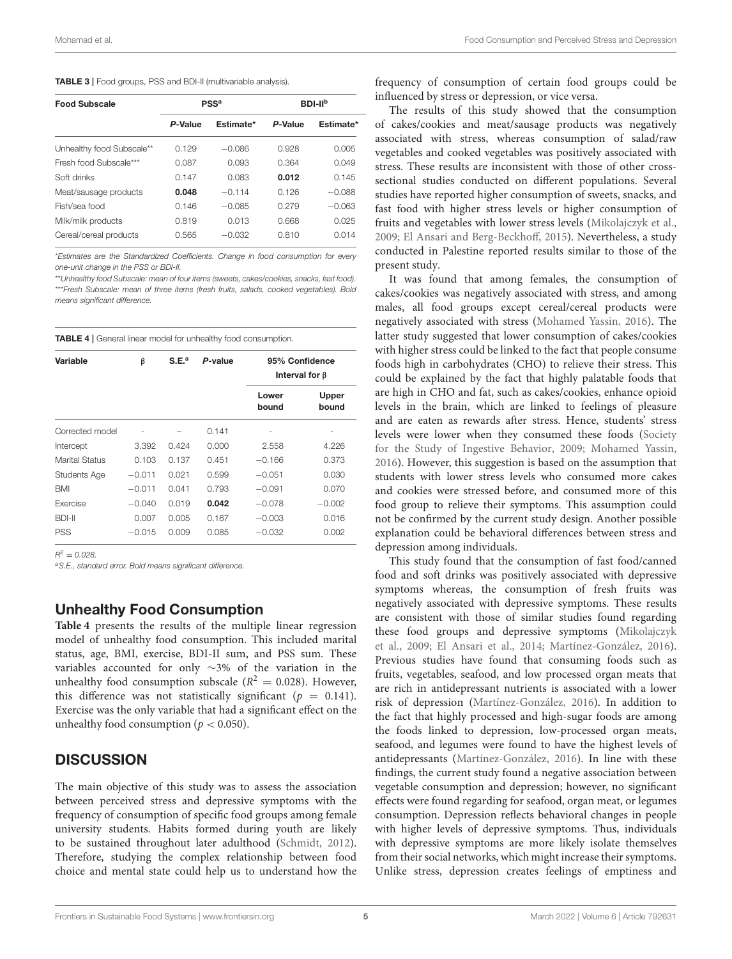<span id="page-5-0"></span>

| <b>Food Subscale</b>      | $PSS^a$ |           | BDI-II <sup>b</sup> |           |
|---------------------------|---------|-----------|---------------------|-----------|
|                           | P-Value | Estimate* | P-Value             | Estimate* |
| Unhealthy food Subscale** | 0.129   | $-0.086$  | 0.928               | 0.005     |
| Fresh food Subscale***    | 0.087   | 0.093     | 0.364               | 0.049     |
| Soft drinks               | 0.147   | 0.083     | 0.012               | 0.145     |
| Meat/sausage products     | 0.048   | $-0.114$  | 0.126               | $-0.088$  |
| Fish/sea food             | 0.146   | $-0.085$  | 0.279               | $-0.063$  |
| Milk/milk products        | 0.819   | 0.013     | 0.668               | 0.025     |
| Cereal/cereal products    | 0.565   | $-0.032$  | 0.810               | 0.014     |

\**Estimates are the Standardized Coefficients. Change in food consumption for every one-unit change in the PSS or BDI-II.*

\*\**Unhealthy food Subscale: mean of four items (sweets, cakes/cookies, snacks, fast food).* \*\*\**Fresh Subscale: mean of three items (fresh fruits, salads, cooked vegetables). Bold means significant difference.*

<span id="page-5-1"></span>TABLE 4 | General linear model for unhealthy food consumption.

| Variable            | β        | S.E. <sup>a</sup> | P-value | 95% Confidence<br>Interval for $\beta$ |                |
|---------------------|----------|-------------------|---------|----------------------------------------|----------------|
|                     |          |                   |         | Lower<br>bound                         | Upper<br>bound |
| Corrected model     |          |                   | 0.141   |                                        |                |
| Intercept           | 3.392    | 0.424             | 0.000   | 2.558                                  | 4.226          |
| Marital Status      | 0.103    | 0.137             | 0.451   | $-0.166$                               | 0.373          |
| <b>Students Age</b> | $-0.011$ | 0.021             | 0.599   | $-0.051$                               | 0.030          |
| BMI                 | $-0.011$ | 0.041             | 0.793   | $-0.091$                               | 0.070          |
| Exercise            | $-0.040$ | 0.019             | 0.042   | $-0.078$                               | $-0.002$       |
| BDI-II              | 0.007    | 0.005             | 0.167   | $-0.003$                               | 0.016          |
| <b>PSS</b>          | $-0.015$ | 0.009             | 0.085   | $-0.032$                               | 0.002          |

 $R^2 = 0.028$ .

*<sup>a</sup>S.E., standard error. Bold means significant difference.*

## Unhealthy Food Consumption

**[Table 4](#page-5-1)** presents the results of the multiple linear regression model of unhealthy food consumption. This included marital status, age, BMI, exercise, BDI-II sum, and PSS sum. These variables accounted for only ∼3% of the variation in the unhealthy food consumption subscale ( $R^2 = 0.028$ ). However, this difference was not statistically significant ( $p = 0.141$ ). Exercise was the only variable that had a significant effect on the unhealthy food consumption ( $p < 0.050$ ).

## **DISCUSSION**

The main objective of this study was to assess the association between perceived stress and depressive symptoms with the frequency of consumption of specific food groups among female university students. Habits formed during youth are likely to be sustained throughout later adulthood [\(Schmidt, 2012\)](#page-7-2). Therefore, studying the complex relationship between food choice and mental state could help us to understand how the frequency of consumption of certain food groups could be influenced by stress or depression, or vice versa.

The results of this study showed that the consumption of cakes/cookies and meat/sausage products was negatively associated with stress, whereas consumption of salad/raw vegetables and cooked vegetables was positively associated with stress. These results are inconsistent with those of other crosssectional studies conducted on different populations. Several studies have reported higher consumption of sweets, snacks, and fast food with higher stress levels or higher consumption of fruits and vegetables with lower stress levels [\(Mikolajczyk et al.,](#page-7-18) [2009;](#page-7-18) [El Ansari and Berg-Beckhoff, 2015\)](#page-7-10). Nevertheless, a study conducted in Palestine reported results similar to those of the present study.

It was found that among females, the consumption of cakes/cookies was negatively associated with stress, and among males, all food groups except cereal/cereal products were negatively associated with stress [\(Mohamed Yassin, 2016\)](#page-7-32). The latter study suggested that lower consumption of cakes/cookies with higher stress could be linked to the fact that people consume foods high in carbohydrates (CHO) to relieve their stress. This could be explained by the fact that highly palatable foods that are high in CHO and fat, such as cakes/cookies, enhance opioid levels in the brain, which are linked to feelings of pleasure and are eaten as rewards after stress. Hence, students' stress levels were lower when they consumed these foods (Society for the Study of Ingestive Behavior, [2009;](#page-7-33) [Mohamed Yassin,](#page-7-32) [2016\)](#page-7-32). However, this suggestion is based on the assumption that students with lower stress levels who consumed more cakes and cookies were stressed before, and consumed more of this food group to relieve their symptoms. This assumption could not be confirmed by the current study design. Another possible explanation could be behavioral differences between stress and depression among individuals.

This study found that the consumption of fast food/canned food and soft drinks was positively associated with depressive symptoms whereas, the consumption of fresh fruits was negatively associated with depressive symptoms. These results are consistent with those of similar studies found regarding these food groups and depressive symptoms (Mikolajczyk et al., [2009;](#page-7-18) [El Ansari et al., 2014;](#page-7-19) [Martínez-González, 2016\)](#page-7-13). Previous studies have found that consuming foods such as fruits, vegetables, seafood, and low processed organ meats that are rich in antidepressant nutrients is associated with a lower risk of depression [\(Martínez-González, 2016\)](#page-7-13). In addition to the fact that highly processed and high-sugar foods are among the foods linked to depression, low-processed organ meats, seafood, and legumes were found to have the highest levels of antidepressants [\(Martínez-González, 2016\)](#page-7-13). In line with these findings, the current study found a negative association between vegetable consumption and depression; however, no significant effects were found regarding for seafood, organ meat, or legumes consumption. Depression reflects behavioral changes in people with higher levels of depressive symptoms. Thus, individuals with depressive symptoms are more likely isolate themselves from their social networks, which might increase their symptoms. Unlike stress, depression creates feelings of emptiness and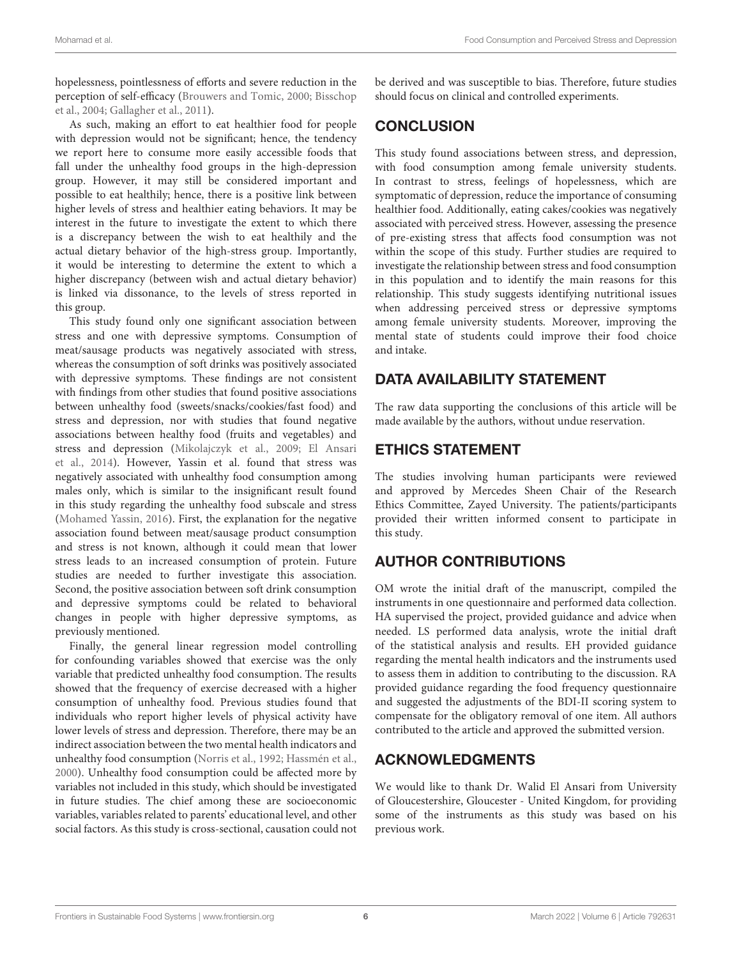hopelessness, pointlessness of efforts and severe reduction in the perception of self-efficacy [\(Brouwers and Tomic, 2000;](#page-7-34) Bisschop et al., [2004;](#page-7-35) [Gallagher et al., 2011\)](#page-7-36).

As such, making an effort to eat healthier food for people with depression would not be significant; hence, the tendency we report here to consume more easily accessible foods that fall under the unhealthy food groups in the high-depression group. However, it may still be considered important and possible to eat healthily; hence, there is a positive link between higher levels of stress and healthier eating behaviors. It may be interest in the future to investigate the extent to which there is a discrepancy between the wish to eat healthily and the actual dietary behavior of the high-stress group. Importantly, it would be interesting to determine the extent to which a higher discrepancy (between wish and actual dietary behavior) is linked via dissonance, to the levels of stress reported in this group.

This study found only one significant association between stress and one with depressive symptoms. Consumption of meat/sausage products was negatively associated with stress, whereas the consumption of soft drinks was positively associated with depressive symptoms. These findings are not consistent with findings from other studies that found positive associations between unhealthy food (sweets/snacks/cookies/fast food) and stress and depression, nor with studies that found negative associations between healthy food (fruits and vegetables) and stress and depression [\(Mikolajczyk et al., 2009;](#page-7-18) El Ansari et al., [2014\)](#page-7-19). However, Yassin et al. found that stress was negatively associated with unhealthy food consumption among males only, which is similar to the insignificant result found in this study regarding the unhealthy food subscale and stress [\(Mohamed Yassin, 2016\)](#page-7-32). First, the explanation for the negative association found between meat/sausage product consumption and stress is not known, although it could mean that lower stress leads to an increased consumption of protein. Future studies are needed to further investigate this association. Second, the positive association between soft drink consumption and depressive symptoms could be related to behavioral changes in people with higher depressive symptoms, as previously mentioned.

Finally, the general linear regression model controlling for confounding variables showed that exercise was the only variable that predicted unhealthy food consumption. The results showed that the frequency of exercise decreased with a higher consumption of unhealthy food. Previous studies found that individuals who report higher levels of physical activity have lower levels of stress and depression. Therefore, there may be an indirect association between the two mental health indicators and unhealthy food consumption [\(Norris et al., 1992;](#page-7-37) [Hassmén et al.,](#page-7-38) [2000\)](#page-7-38). Unhealthy food consumption could be affected more by variables not included in this study, which should be investigated in future studies. The chief among these are socioeconomic variables, variables related to parents' educational level, and other social factors. As this study is cross-sectional, causation could not be derived and was susceptible to bias. Therefore, future studies should focus on clinical and controlled experiments.

## **CONCLUSION**

This study found associations between stress, and depression, with food consumption among female university students. In contrast to stress, feelings of hopelessness, which are symptomatic of depression, reduce the importance of consuming healthier food. Additionally, eating cakes/cookies was negatively associated with perceived stress. However, assessing the presence of pre-existing stress that affects food consumption was not within the scope of this study. Further studies are required to investigate the relationship between stress and food consumption in this population and to identify the main reasons for this relationship. This study suggests identifying nutritional issues when addressing perceived stress or depressive symptoms among female university students. Moreover, improving the mental state of students could improve their food choice and intake.

## DATA AVAILABILITY STATEMENT

The raw data supporting the conclusions of this article will be made available by the authors, without undue reservation.

## ETHICS STATEMENT

The studies involving human participants were reviewed and approved by Mercedes Sheen Chair of the Research Ethics Committee, Zayed University. The patients/participants provided their written informed consent to participate in this study.

## AUTHOR CONTRIBUTIONS

OM wrote the initial draft of the manuscript, compiled the instruments in one questionnaire and performed data collection. HA supervised the project, provided guidance and advice when needed. LS performed data analysis, wrote the initial draft of the statistical analysis and results. EH provided guidance regarding the mental health indicators and the instruments used to assess them in addition to contributing to the discussion. RA provided guidance regarding the food frequency questionnaire and suggested the adjustments of the BDI-II scoring system to compensate for the obligatory removal of one item. All authors contributed to the article and approved the submitted version.

## ACKNOWLEDGMENTS

We would like to thank Dr. Walid El Ansari from University of Gloucestershire, Gloucester - United Kingdom, for providing some of the instruments as this study was based on his previous work.